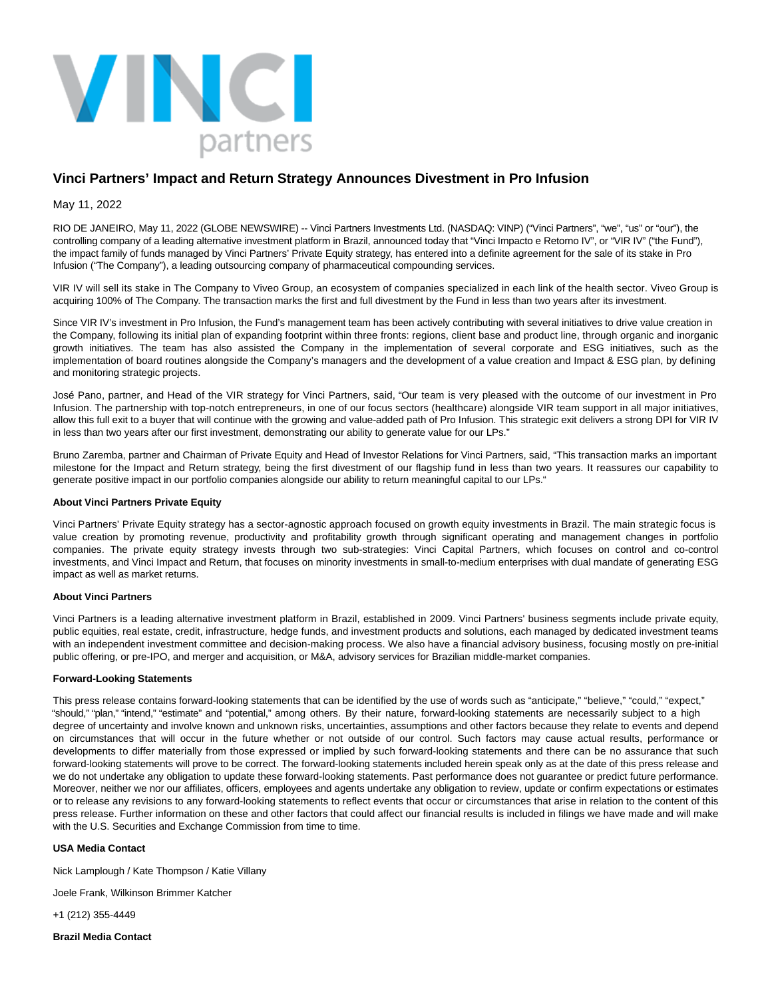

# **Vinci Partners' Impact and Return Strategy Announces Divestment in Pro Infusion**

May 11, 2022

RIO DE JANEIRO, May 11, 2022 (GLOBE NEWSWIRE) -- Vinci Partners Investments Ltd. (NASDAQ: VINP) ("Vinci Partners", "we", "us" or "our"), the controlling company of a leading alternative investment platform in Brazil, announced today that "Vinci Impacto e Retorno IV", or "VIR IV" ("the Fund"), the impact family of funds managed by Vinci Partners' Private Equity strategy, has entered into a definite agreement for the sale of its stake in Pro Infusion ("The Company"), a leading outsourcing company of pharmaceutical compounding services.

VIR IV will sell its stake in The Company to Viveo Group, an ecosystem of companies specialized in each link of the health sector. Viveo Group is acquiring 100% of The Company. The transaction marks the first and full divestment by the Fund in less than two years after its investment.

Since VIR IV's investment in Pro Infusion, the Fund's management team has been actively contributing with several initiatives to drive value creation in the Company, following its initial plan of expanding footprint within three fronts: regions, client base and product line, through organic and inorganic growth initiatives. The team has also assisted the Company in the implementation of several corporate and ESG initiatives, such as the implementation of board routines alongside the Company's managers and the development of a value creation and Impact & ESG plan, by defining and monitoring strategic projects.

José Pano, partner, and Head of the VIR strategy for Vinci Partners, said, "Our team is very pleased with the outcome of our investment in Pro Infusion. The partnership with top-notch entrepreneurs, in one of our focus sectors (healthcare) alongside VIR team support in all major initiatives, allow this full exit to a buyer that will continue with the growing and value-added path of Pro Infusion. This strategic exit delivers a strong DPI for VIR IV in less than two years after our first investment, demonstrating our ability to generate value for our LPs."

Bruno Zaremba, partner and Chairman of Private Equity and Head of Investor Relations for Vinci Partners, said, "This transaction marks an important milestone for the Impact and Return strategy, being the first divestment of our flagship fund in less than two years. It reassures our capability to generate positive impact in our portfolio companies alongside our ability to return meaningful capital to our LPs."

### **About Vinci Partners Private Equity**

Vinci Partners' Private Equity strategy has a sector-agnostic approach focused on growth equity investments in Brazil. The main strategic focus is value creation by promoting revenue, productivity and profitability growth through significant operating and management changes in portfolio companies. The private equity strategy invests through two sub-strategies: Vinci Capital Partners, which focuses on control and co-control investments, and Vinci Impact and Return, that focuses on minority investments in small-to-medium enterprises with dual mandate of generating ESG impact as well as market returns.

## **About Vinci Partners**

Vinci Partners is a leading alternative investment platform in Brazil, established in 2009. Vinci Partners' business segments include private equity, public equities, real estate, credit, infrastructure, hedge funds, and investment products and solutions, each managed by dedicated investment teams with an independent investment committee and decision-making process. We also have a financial advisory business, focusing mostly on pre-initial public offering, or pre-IPO, and merger and acquisition, or M&A, advisory services for Brazilian middle-market companies.

#### **Forward-Looking Statements**

This press release contains forward-looking statements that can be identified by the use of words such as "anticipate," "believe," "could," "expect," "should," "plan," "intend," "estimate" and "potential," among others. By their nature, forward-looking statements are necessarily subject to a high degree of uncertainty and involve known and unknown risks, uncertainties, assumptions and other factors because they relate to events and depend on circumstances that will occur in the future whether or not outside of our control. Such factors may cause actual results, performance or developments to differ materially from those expressed or implied by such forward-looking statements and there can be no assurance that such forward-looking statements will prove to be correct. The forward-looking statements included herein speak only as at the date of this press release and we do not undertake any obligation to update these forward-looking statements. Past performance does not guarantee or predict future performance. Moreover, neither we nor our affiliates, officers, employees and agents undertake any obligation to review, update or confirm expectations or estimates or to release any revisions to any forward-looking statements to reflect events that occur or circumstances that arise in relation to the content of this press release. Further information on these and other factors that could affect our financial results is included in filings we have made and will make with the U.S. Securities and Exchange Commission from time to time.

#### **USA Media Contact**

Nick Lamplough / Kate Thompson / Katie Villany

Joele Frank, Wilkinson Brimmer Katcher

+1 (212) 355-4449

**Brazil Media Contact**